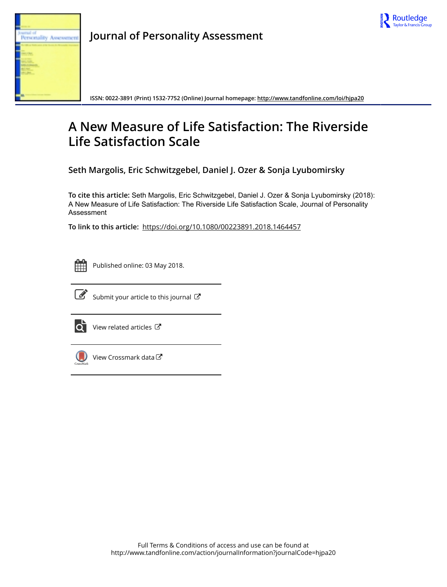



**Journal of Personality Assessment**

**ISSN: 0022-3891 (Print) 1532-7752 (Online) Journal homepage:<http://www.tandfonline.com/loi/hjpa20>**

## **A New Measure of Life Satisfaction: The Riverside Life Satisfaction Scale**

**Seth Margolis, Eric Schwitzgebel, Daniel J. Ozer & Sonja Lyubomirsky**

**To cite this article:** Seth Margolis, Eric Schwitzgebel, Daniel J. Ozer & Sonja Lyubomirsky (2018): A New Measure of Life Satisfaction: The Riverside Life Satisfaction Scale, Journal of Personality Assessment

**To link to this article:** <https://doi.org/10.1080/00223891.2018.1464457>



Published online: 03 May 2018.



 $\overrightarrow{S}$  [Submit your article to this journal](http://www.tandfonline.com/action/authorSubmission?journalCode=hjpa20&show=instructions)  $\overrightarrow{S}$ 



 $\overrightarrow{Q}$  [View related articles](http://www.tandfonline.com/doi/mlt/10.1080/00223891.2018.1464457)  $\overrightarrow{C}$ 



[View Crossmark data](http://crossmark.crossref.org/dialog/?doi=10.1080/00223891.2018.1464457&domain=pdf&date_stamp=2018-05-03) $\mathbb{C}$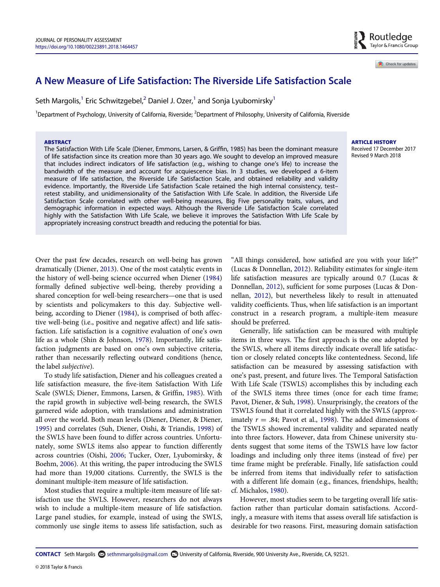# appropriately increasing construct breadth and reducing the potential for bias. Over the past few decades, research on well-being has grown

<span id="page-1-5"></span><span id="page-1-2"></span><span id="page-1-1"></span>dramatically (Diener, [2013](#page-9-0)). One of the most catalytic events in the history of well-being science occurred when Diener [\(1984\)](#page-9-1) formally defined subjective well-being, thereby providing a shared conception for well-being researchers—one that is used by scientists and policymakers to this day. Subjective wellbeing, according to Diener ([1984\)](#page-9-1), is comprised of both affective well-being (i.e., positive and negative affect) and life satisfaction. Life satisfaction is a cognitive evaluation of one's own life as a whole (Shin & Johnson, [1978](#page-10-0)). Importantly, life satisfaction judgments are based on one's own subjective criteria, rather than necessarily reflecting outward conditions (hence, the label subjective).

<span id="page-1-10"></span><span id="page-1-9"></span><span id="page-1-8"></span><span id="page-1-4"></span><span id="page-1-3"></span>To study life satisfaction, Diener and his colleagues created a life satisfaction measure, the five-item Satisfaction With Life Scale (SWLS; Diener, Emmons, Larsen, & Griffin, [1985\)](#page-9-2). With the rapid growth in subjective well-being research, the SWLS garnered wide adoption, with translations and administration all over the world. Both mean levels (Diener, Diener, & Diener, [1995\)](#page-9-3) and correlates (Suh, Diener, Oishi, & Triandis, [1998](#page-10-1)) of the SWLS have been found to differ across countries. Unfortunately, some SWLS items also appear to function differently across countries (Oishi, [2006;](#page-9-4) Tucker, Ozer, Lyubomirsky, & Boehm, [2006](#page-10-2)). At this writing, the paper introducing the SWLS had more than 19,000 citations. Currently, the SWLS is the dominant multiple-item measure of life satisfaction.

<span id="page-1-11"></span><span id="page-1-7"></span><span id="page-1-6"></span>Most studies that require a multiple-item measure of life satisfaction use the SWLS. However, researchers do not always wish to include a multiple-item measure of life satisfaction. Large panel studies, for example, instead of using the SWLS, commonly use single items to assess life satisfaction, such as

CONTACT Seth Margolis **Sethmmargolis@gmail.com CO** University of California, Riverside, 900 University Ave., Riverside, CA, 92521.

"All things considered, how satisfied are you with your life?" (Lucas & Donnellan, [2012\)](#page-9-5). Reliability estimates for single-item life satisfaction measures are typically around 0.7 (Lucas & Donnellan, [2012](#page-9-5)), sufficient for some purposes (Lucas & Donnellan, [2012](#page-9-5)), but nevertheless likely to result in attenuated validity coefficients. Thus, when life satisfaction is an important construct in a research program, a multiple-item measure should be preferred.

Generally, life satisfaction can be measured with multiple items in three ways. The first approach is the one adopted by the SWLS, where all items directly indicate overall life satisfaction or closely related concepts like contentedness. Second, life satisfaction can be measured by assessing satisfaction with one's past, present, and future lives. The Temporal Satisfaction With Life Scale (TSWLS) accomplishes this by including each of the SWLS items three times (once for each time frame; Pavot, Diener, & Suh, [1998\)](#page-9-6). Unsurprisingly, the creators of the TSWLS found that it correlated highly with the SWLS (approximately  $r = .84$ ; Pavot et al., [1998](#page-9-6)). The added dimensions of the TSWLS showed incremental validity and separated neatly into three factors. However, data from Chinese university students suggest that some items of the TSWLS have low factor loadings and including only three items (instead of five) per time frame might be preferable. Finally, life satisfaction could be inferred from items that individually refer to satisfaction with a different life domain (e.g., finances, friendships, health; cf. Michalos, [1980\)](#page-9-7).

However, most studies seem to be targeting overall life satisfaction rather than particular domain satisfactions. Accordingly, a measure with items that assess overall life satisfaction is desirable for two reasons. First, measuring domain satisfaction

### A New Measure of Life Satisfaction: The Riverside Life Satisfaction Scale

Seth Margolis,<sup>[1](#page-1-0)</sup> Eric Schwitzgebel,<sup>2</sup> Daniel J. Ozer,<sup>1</sup> and Sonja Lyubomirsky<sup>1</sup>

<span id="page-1-0"></span><sup>1</sup>Department of Psychology, University of California, Riverside; <sup>2</sup>Department of Philosophy, University of California, Riverside

#### **ABSTRACT**

The Satisfaction With Life Scale (Diener, Emmons, Larsen, & Griffin, 1985) has been the dominant measure of life satisfaction since its creation more than 30 years ago. We sought to develop an improved measure that includes indirect indicators of life satisfaction (e.g., wishing to change one's life) to increase the bandwidth of the measure and account for acquiescence bias. In 3 studies, we developed a 6-item measure of life satisfaction, the Riverside Life Satisfaction Scale, and obtained reliability and validity evidence. Importantly, the Riverside Life Satisfaction Scale retained the high internal consistency, test– retest stability, and unidimensionality of the Satisfaction With Life Scale. In addition, the Riverside Life Satisfaction Scale correlated with other well-being measures, Big Five personality traits, values, and demographic information in expected ways. Although the Riverside Life Satisfaction Scale correlated highly with the Satisfaction With Life Scale, we believe it improves the Satisfaction With Life Scale by Taylor & Francis Group Check for updates

ARTICLE HISTORY Received 17 December 2017 Revised 9 March 2018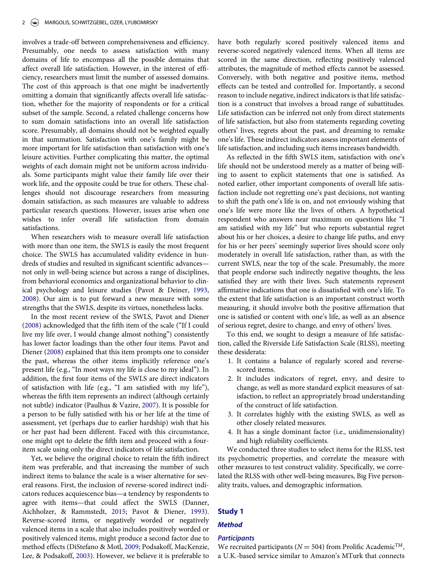involves a trade-off between comprehensiveness and efficiency. Presumably, one needs to assess satisfaction with many domains of life to encompass all the possible domains that affect overall life satisfaction. However, in the interest of efficiency, researchers must limit the number of assessed domains. The cost of this approach is that one might be inadvertently omitting a domain that significantly affects overall life satisfaction, whether for the majority of respondents or for a critical subset of the sample. Second, a related challenge concerns how to sum domain satisfactions into an overall life satisfaction score. Presumably, all domains should not be weighted equally in that summation. Satisfaction with one's family might be more important for life satisfaction than satisfaction with one's leisure activities. Further complicating this matter, the optimal weights of each domain might not be uniform across individuals. Some participants might value their family life over their work life, and the opposite could be true for others. These challenges should not discourage researchers from measuring domain satisfaction, as such measures are valuable to address particular research questions. However, issues arise when one wishes to infer overall life satisfaction from domain satisfactions.

When researchers wish to measure overall life satisfaction with more than one item, the SWLS is easily the most frequent choice. The SWLS has accumulated validity evidence in hundreds of studies and resulted in significant scientific advances not only in well-being science but across a range of disciplines, from behavioral economics and organizational behavior to clinical psychology and leisure studies (Pavot & Deiner, [1993,](#page-9-8) [2008](#page-9-9)). Our aim is to put forward a new measure with some strengths that the SWLS, despite its virtues, nonetheless lacks.

<span id="page-2-3"></span>In the most recent review of the SWLS, Pavot and Diener [\(2008](#page-9-9)) acknowledged that the fifth item of the scale ("If I could live my life over, I would change almost nothing") consistently has lower factor loadings than the other four items. Pavot and Diener [\(2008](#page-9-9)) explained that this item prompts one to consider the past, whereas the other items implicitly reference one's present life (e.g., "In most ways my life is close to my ideal"). In addition, the first four items of the SWLS are direct indicators of satisfaction with life (e.g., "I am satisfied with my life"), whereas the fifth item represents an indirect (although certainly not subtle) indicator (Paulhus & Vazire, [2007\)](#page-9-10). It is possible for a person to be fully satisfied with his or her life at the time of assessment, yet (perhaps due to earlier hardship) wish that his or her past had been different. Faced with this circumstance, one might opt to delete the fifth item and proceed with a fouritem scale using only the direct indicators of life satisfaction.

<span id="page-2-4"></span><span id="page-2-2"></span><span id="page-2-1"></span><span id="page-2-0"></span>Yet, we believe the original choice to retain the fifth indirect item was preferable, and that increasing the number of such indirect items to balance the scale is a wiser alternative for several reasons. First, the inclusion of reverse-scored indirect indicators reduces acquiescence bias—a tendency by respondents to agree with items—that could affect the SWLS (Danner, Aichholzer, & Rammstedt, [2015;](#page-9-11) Pavot & Diener, [1993](#page-9-8)). Reverse-scored items, or negatively worded or negatively valenced items in a scale that also includes positively worded or positively valenced items, might produce a second factor due to method effects (DiStefano & Motl, [2009](#page-9-12); Podsakoff, MacKenzie, Lee, & Podsakoff, [2003\)](#page-9-13). However, we believe it is preferable to

have both regularly scored positively valenced items and reverse-scored negatively valenced items. When all items are scored in the same direction, reflecting positively valenced attributes, the magnitude of method effects cannot be assessed. Conversely, with both negative and positive items, method effects can be tested and controlled for. Importantly, a second reason to include negative, indirect indicators is that life satisfaction is a construct that involves a broad range of subattitudes. Life satisfaction can be inferred not only from direct statements of life satisfaction, but also from statements regarding coveting others' lives, regrets about the past, and dreaming to remake one's life. These indirect indicators assess important elements of life satisfaction, and including such items increases bandwidth.

As reflected in the fifth SWLS item, satisfaction with one's life should not be understood merely as a matter of being willing to assent to explicit statements that one is satisfied. As noted earlier, other important components of overall life satisfaction include not regretting one's past decisions, not wanting to shift the path one's life is on, and not enviously wishing that one's life were more like the lives of others. A hypothetical respondent who answers near maximum on questions like "I am satisfied with my life" but who reports substantial regret about his or her choices, a desire to change life paths, and envy for his or her peers' seemingly superior lives should score only moderately in overall life satisfaction, rather than, as with the current SWLS, near the top of the scale. Presumably, the more that people endorse such indirectly negative thoughts, the less satisfied they are with their lives. Such statements represent affirmative indications that one is dissatisfied with one's life. To the extent that life satisfaction is an important construct worth measuring, it should involve both the positive affirmation that one is satisfied or content with one's life, as well as an absence of serious regret, desire to change, and envy of others' lives.

To this end, we sought to design a measure of life satisfaction, called the Riverside Life Satisfaction Scale (RLSS), meeting these desiderata:

- 1. It contains a balance of regularly scored and reversescored items.
- 2. It includes indicators of regret, envy, and desire to change, as well as more standard explicit measures of satisfaction, to reflect an appropriately broad understanding of the construct of life satisfaction.
- 3. It correlates highly with the existing SWLS, as well as other closely related measures.
- 4. It has a single dominant factor (i.e., unidimensionality) and high reliability coefficients.

We conducted three studies to select items for the RLSS, test its psychometric properties, and correlate the measure with other measures to test construct validity. Specifically, we correlated the RLSS with other well-being measures, Big Five personality traits, values, and demographic information.

#### Study 1

#### **Method**

#### **Participants**

We recruited participants ( $N = 504$ ) from Prolific Academic<sup>TM</sup>, a U.K.-based service similar to Amazon's MTurk that connects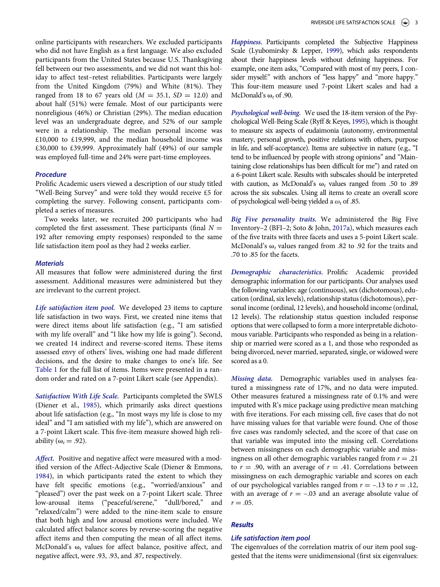<span id="page-3-1"></span>online participants with researchers. We excluded participants who did not have English as a first language. We also excluded participants from the United States because U.S. Thanksgiving fell between our two assessments, and we did not want this holiday to affect test–retest reliabilities. Participants were largely from the United Kingdom (79%) and White (81%). They ranged from 18 to 67 years old  $(M = 35.1, SD = 12.0)$  and about half (51%) were female. Most of our participants were nonreligious (46%) or Christian (29%). The median education level was an undergraduate degree, and 52% of our sample were in a relationship. The median personal income was £10,000 to £19,999, and the median household income was £30,000 to £39,999. Approximately half (49%) of our sample was employed full-time and 24% were part-time employees.

#### <span id="page-3-2"></span>Procedure

Prolific Academic users viewed a description of our study titled "Well-Being Survey" and were told they would receive £5 for completing the survey. Following consent, participants completed a series of measures.

<span id="page-3-3"></span>Two weeks later, we recruited 200 participants who had completed the first assessment. These participants (final  $N =$ 192 after removing empty responses) responded to the same life satisfaction item pool as they had 2 weeks earlier.

#### **Materials**

All measures that follow were administered during the first assessment. Additional measures were administered but they are irrelevant to the current project.

Life satisfaction item pool. We developed 23 items to capture life satisfaction in two ways. First, we created nine items that were direct items about life satisfaction (e.g., "I am satisfied with my life overall" and "I like how my life is going"). Second, we created 14 indirect and reverse-scored items. These items assessed envy of others' lives, wishing one had made different decisions, and the desire to make changes to one's life. See [Table 1](#page-4-0) for the full list of items. Items were presented in a random order and rated on a 7-point Likert scale (see Appendix).

Satisfaction With Life Scale. Participants completed the SWLS (Diener et al., [1985](#page-9-2)), which primarily asks direct questions about life satisfaction (e.g., "In most ways my life is close to my ideal" and "I am satisfied with my life"), which are answered on a 7-point Likert scale. This five-item measure showed high reliability ( $\omega_t = .92$ ).

<span id="page-3-0"></span>Affect. Positive and negative affect were measured with a modified version of the Affect-Adjective Scale (Diener & Emmons, [1984\)](#page-9-14), in which participants rated the extent to which they have felt specific emotions (e.g., "worried/anxious" and "pleased") over the past week on a 7-point Likert scale. Three low-arousal items ("peaceful/serene," "dull/bored," and "relaxed/calm") were added to the nine-item scale to ensure that both high and low arousal emotions were included. We calculated affect balance scores by reverse-scoring the negative affect items and then computing the mean of all affect items. McDonald's  $\omega_t$  values for affect balance, positive affect, and negative affect, were .93, .93, and .87, respectively.

Happiness. Participants completed the Subjective Happiness Scale (Lyubomirsky & Lepper, [1999](#page-9-15)), which asks respondents about their happiness levels without defining happiness. For example, one item asks, "Compared with most of my peers, I consider myself:" with anchors of "less happy" and "more happy." This four-item measure used 7-point Likert scales and had a McDonald's  $\omega_t$  of .90.

Psychological well-being. We used the 18-item version of the Psychological Well-Being Scale (Ryff & Keyes, [1995](#page-9-16)), which is thought to measure six aspects of eudaimonia (autonomy, environmental mastery, personal growth, positive relations with others, purpose in life, and self-acceptance). Items are subjective in nature (e.g., "I tend to be influenced by people with strong opinions" and "Maintaining close relationships has been difficult for me") and rated on a 6-point Likert scale. Results with subscales should be interpreted with caution, as McDonald's  $\omega_t$  values ranged from .50 to .89 across the six subscales. Using all items to create an overall score of psychological well-being yielded a  $\omega_{\rm t}$  of .85.

Big Five personality traits. We administered the Big Five Inventory–2 (BFI–2; Soto & John, [2017a](#page-10-3)), which measures each of the five traits with three facets and uses a 5-point Likert scale. McDonald's  $\omega_t$  values ranged from .82 to .92 for the traits and .70 to .85 for the facets.

Demographic characteristics. Prolific Academic provided demographic information for our participants. Our analyses used the following variables: age (continuous), sex (dichotomous), education (ordinal, six levels), relationship status (dichotomous), personal income (ordinal, 12 levels), and household income (ordinal, 12 levels). The relationship status question included response options that were collapsed to form a more interpretable dichotomous variable. Participants who responded as being in a relationship or married were scored as a 1, and those who responded as being divorced, never married, separated, single, or widowed were scored as a 0.

Missing data. Demographic variables used in analyses featured a missingness rate of 17%, and no data were imputed. Other measures featured a missingness rate of 0.1% and were imputed with R's mice package using predictive mean matching with five iterations. For each missing cell, five cases that do not have missing values for that variable were found. One of those five cases was randomly selected, and the score of that case on that variable was imputed into the missing cell. Correlations between missingness on each demographic variable and missingness on all other demographic variables ranged from  $r = .21$ to  $r = .90$ , with an average of  $r = .41$ . Correlations between missingness on each demographic variable and scores on each of our psychological variables ranged from  $r = -.13$  to  $r = .12$ , with an average of  $r = -0.03$  and an average absolute value of  $r = .05.$ 

#### Results

#### Life satisfaction item pool

The eigenvalues of the correlation matrix of our item pool suggested that the items were unidimensional (first six eigenvalues: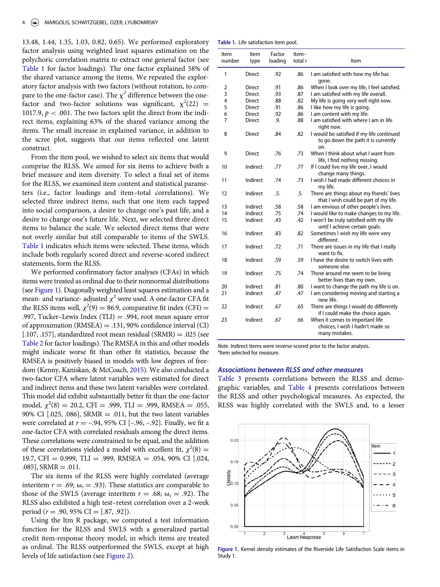<span id="page-4-0"></span>13.48, 1.44, 1.35, 1.03, 0.82, 0.65). We performed exploratory factor analysis using weighted least squares estimation on the polychoric correlation matrix to extract one general factor (see [Table 1](#page-4-0) for factor loadings). The one factor explained 58% of the shared variance among the items. We repeated the exploratory factor analysis with two factors (without rotation, to compare to the one-factor case). The  $\chi^2$  difference between the onefactor and two-factor solutions was significant,  $\chi^2(22)$  = 1017.9,  $p < .001$ . The two factors split the direct from the indirect items, explaining 63% of the shared variance among the items. The small increase in explained variance, in addition to the scree plot, suggests that our items reflected one latent construct.

From the item pool, we wished to select six items that would comprise the RLSS. We aimed for six items to achieve both a brief measure and item diversity. To select a final set of items for the RLSS, we examined item content and statistical parameters (i.e., factor loadings and item–total correlations). We selected three indirect items, such that one item each tapped into social comparison, a desire to change one's past life, and a desire to change one's future life. Next, we selected three direct items to balance the scale. We selected direct items that were not overly similar but still comparable to items of the SWLS. [Table 1](#page-4-0) indicates which items were selected. These items, which include both regularly scored direct and reverse-scored indirect statements, form the RLSS.

<span id="page-4-2"></span>We performed confirmatory factor analyses (CFAs) in which items were treated as ordinal due to their nonnormal distributions (see [Figure 1\)](#page-4-1). Diagonally weighted least squares estimation and a mean- and variance- adjusted  $\chi^2$  were used. A one-factor CFA fit the RLSS items well,  $\chi^2(9) = 86.9$ , comparative fit index (CFI) = .997, Tucker–Lewis Index (TLI) = .994, root mean square error of approximation  $(RMSEA) = .131, 90\%$  confidence interval (CI)  $[.107, .157]$ , standardized root mean residual  $(SRMR) = .025$  (see [Table 2](#page-5-0) for factor loadings). The RMSEA in this and other models might indicate worse fit than other fit statistics, because the RMSEA is positively biased in models with low degrees of freedom (Kenny, Kaniskan, & McCoach, [2015](#page-9-17)). We also conducted a two-factor CFA where latent variables were estimated for direct and indirect items and these two latent variables were correlated. This model did exhibit substantially better fit than the one-factor model,  $\chi^2(8) = 20.2$ , CFI = .999, TLI = .999, RMSEA = .055, 90% CI [.025, .086], SRMR = .011, but the two latent variables were correlated at  $r = -.94$ , 95% CI [-.96, -.92]. Finally, we fit a one-factor CFA with correlated residuals among the direct items. These correlations were constrained to be equal, and the addition of these correlations yielded a model with excellent fit,  $\chi^2(8)$  = 19.7, CFI = 0.999, TLI = .999, RMSEA = .054, 90% CI [.024,  $.085$ ], SRMR =  $.011$ .

<span id="page-4-1"></span>The six items of the RLSS were highly correlated (average interitem  $r = .69$ ;  $\omega_t = .93$ ). These statistics are comparable to those of the SWLS (average interitem  $r = .68$ ;  $\omega_t = .92$ ). The RLSS also exhibited a high test–retest correlation over a 2-week period ( $r = .90, 95\%$  CI  $= [.87, .92]$ ).

Using the ltm R package, we computed a test information function for the RLSS and SWLS with a generalized partial credit item-response theory model, in which items are treated as ordinal. The RLSS outperformed the SWLS, except at high levels of life satisfaction (see [Figure 2](#page-5-1)).

Table 1. Life satisfaction item pool.

| Item<br>number | Item<br>type  | Factor<br>loading | Item-<br>total r | Item                                                                                    |
|----------------|---------------|-------------------|------------------|-----------------------------------------------------------------------------------------|
| 1              | Direct        | .92               | .86              | I am satisfied with how my life has<br>gone.                                            |
| 2              | <b>Direct</b> | .91               | .86              | When I look over my life, I feel satisfied.                                             |
| 3              | <b>Direct</b> | .93               | .87              | I am satisfied with my life overall.                                                    |
| 4              | <b>Direct</b> | .88               | .82              | My life is going very well right now.                                                   |
| 5              | Direct        | .91               | .86              | I like how my life is going.                                                            |
| 6              | <b>Direct</b> | .92               | .86              | I am content with my life.                                                              |
| 7              | <b>Direct</b> | .9.               | .88              | I am satisfied with where I am in life<br>right now.                                    |
| 8              | <b>Direct</b> | .84               | .82              | I would be satisfied if my life continued<br>to go down the path it is currently<br>on. |
| 9              | Direct        | .76               | .73              | When I think about what I want from<br>life, I find nothing missing.                    |
| 10             | Indirect      | .77               | .77              | If I could live my life over, I would<br>change many things.                            |
| 11             | Indirect      | .74               | .73              | I wish I had made different choices in<br>my life.                                      |
| 12             | Indirect      | .5.               | .5.              | There are things about my friends' lives<br>that I wish could be part of my life.       |
| 13             | Indirect      | .58               | .58              | I am envious of other people's lives.                                                   |
| 14             | Indirect      | .75               | .74              | I would like to make changes to my life.                                                |
| 15             | Indirect      | .43               | .42              | I won't be truly satisfied with my life<br>until I achieve certain goals.               |
| 16             | Indirect      | .83               | .82              | Sometimes I wish my life were very<br>different.                                        |
| 17             | Indirect      | .72               | .71              | There are issues in my life that I really<br>want to fix.                               |
| 18             | Indirect      | .59               | .59              | I have the desire to switch lives with<br>someone else.                                 |
| 19             | Indirect      | .75               | .74              | Those around me seem to be living<br>better lives than my own.                          |
| 20             | Indirect      | .81               | .80              | I want to change the path my life is on.                                                |
| 21             | Indirect      | .47               | .47              | I am considering moving and starting a<br>new life.                                     |
| 22             | Indirect      | .67               | .65              | There are things I would do differently<br>if I could make the choice again.            |
| 23             | Indirect      | .67               | .66              | When it comes to important life<br>choices, I wish I hadn't made so<br>many mistakes.   |

Note. Indirect items were reverse-scored prior to the factor analysis. altem selected for measure.

#### Associations between RLSS and other measures

[Table 3](#page-5-2) presents correlations between the RLSS and demographic variables, and [Table 4](#page-6-0) presents correlations between the RLSS and other psychological measures. As expected, the RLSS was highly correlated with the SWLS and, to a lesser



Figure 1. Kernel density estimates of the Riverside Life Satisfaction Scale items in Study 1.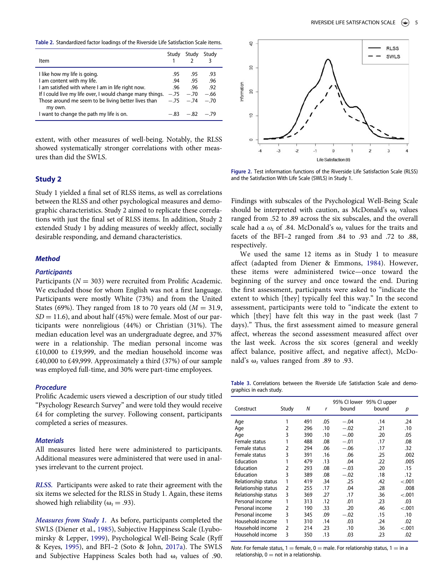<span id="page-5-1"></span><span id="page-5-0"></span>Table 2. Standardized factor loadings of the Riverside Life Satisfaction Scale items.

| Item                                                           | Study      | Study              | Study      |
|----------------------------------------------------------------|------------|--------------------|------------|
| I like how my life is going.<br>I am content with my life.     | .95<br>.94 | .95<br>.95         | .93<br>.96 |
| I am satisfied with where I am in life right now.              | .96        | .96                | .92        |
| If I could live my life over, I would change many things.      |            | $-.75 - .70$       | $-.66$     |
| Those around me seem to be living better lives than<br>my own. |            | $-.75 - .74 - .70$ |            |
| I want to change the path my life is on.                       | $-83$      | $-82$              | $-79$      |

extent, with other measures of well-being. Notably, the RLSS showed systematically stronger correlations with other measures than did the SWLS.

#### Study 2

Study 1 yielded a final set of RLSS items, as well as correlations between the RLSS and other psychological measures and demographic characteristics. Study 2 aimed to replicate these correlations with just the final set of RLSS items. In addition, Study 2 extended Study 1 by adding measures of weekly affect, socially desirable responding, and demand characteristics.

#### **Method**

#### **Participants**

Participants ( $N = 303$ ) were recruited from Prolific Academic. We excluded those for whom English was not a first language. Participants were mostly White (73%) and from the United States (69%). They ranged from 18 to 70 years old ( $M = 31.9$ ,  $SD = 11.6$ ), and about half (45%) were female. Most of our participants were nonreligious (44%) or Christian (31%). The median education level was an undergraduate degree, and 37% were in a relationship. The median personal income was £10,000 to £19,999, and the median household income was £40,000 to £49,999. Approximately a third (37%) of our sample was employed full-time, and 30% were part-time employees.

#### <span id="page-5-2"></span>Procedure

Prolific Academic users viewed a description of our study titled "Psychology Research Survey" and were told they would receive £4 for completing the survey. Following consent, participants completed a series of measures.

#### **Materials**

All measures listed here were administered to participants. Additional measures were administered that were used in analyses irrelevant to the current project.

RLSS. Participants were asked to rate their agreement with the six items we selected for the RLSS in Study 1. Again, these items showed high reliability ( $\omega_t = .93$ ).

Measures from Study 1. As before, participants completed the SWLS (Diener et al., [1985\)](#page-9-2), Subjective Happiness Scale (Lyubomirsky & Lepper, [1999\)](#page-9-15), Psychological Well-Being Scale (Ryff & Keyes, [1995\)](#page-9-16), and BFI–2 (Soto & John, [2017a\)](#page-10-3). The SWLS and Subjective Happiness Scales both had  $\omega_t$  values of .90.



Figure 2. Test information functions of the Riverside Life Satisfaction Scale (RLSS) and the Satisfaction With Life Scale (SWLS) in Study 1.

Findings with subscales of the Psychological Well-Being Scale should be interpreted with caution, as McDonald's  $\omega_t$  values ranged from .52 to .89 across the six subscales, and the overall scale had a  $\omega_t$  of .84. McDonald's  $\omega_t$  values for the traits and facets of the BFI–2 ranged from .84 to .93 and .72 to .88, respectively.

We used the same 12 items as in Study 1 to measure affect (adapted from Diener & Emmons, [1984](#page-9-14)). However, these items were administered twice—once toward the beginning of the survey and once toward the end. During the first assessment, participants were asked to "indicate the extent to which [they] typically feel this way." In the second assessment, participants were told to "indicate the extent to which [they] have felt this way in the past week (last 7 days)." Thus, the first assessment aimed to measure general affect, whereas the second assessment measured affect over the last week. Across the six scores (general and weekly affect balance, positive affect, and negative affect), McDonald's  $\omega_t$  values ranged from .89 to .93.

Table 3. Correlations between the Riverside Life Satisfaction Scale and demographics in each study.

| Construct           | Study          | N   | r   | 95% CI lower<br>bound | 95% Cl upper<br>bound | р       |
|---------------------|----------------|-----|-----|-----------------------|-----------------------|---------|
| Age                 | 1              | 491 | .05 | $-.04$                | .14                   | .24     |
| Age                 | $\overline{2}$ | 296 | .10 | $-.02$                | .21                   | .10     |
| Age                 | 3              | 390 | .10 | $-.00$                | .20                   | .05     |
| Female status       | 1              | 488 | .08 | $-.01$                | .17                   | .08     |
| Female status       | 2              | 294 | .06 | $-.06$                | .17                   | .32     |
| Female status       | 3              | 391 | .16 | .06                   | .25                   | .002    |
| Education           | 1              | 479 | .13 | .04                   | .22                   | .005    |
| Education           | 2              | 293 | .08 | $-.03$                | .20                   | .15     |
| Education           | 3              | 389 | .08 | $-.02$                | .18                   | .12     |
| Relationship status | 1              | 419 | .34 | .25                   | .42                   | $-.001$ |
| Relationship status | $\overline{2}$ | 255 | .17 | .04                   | .28                   | .008    |
| Relationship status | 3              | 369 | .27 | .17                   | .36                   | $-.001$ |
| Personal income     | 1              | 313 | .12 | .01                   | .23                   | .03     |
| Personal income     | $\overline{2}$ | 190 | .33 | .20                   | .46                   | $-.001$ |
| Personal income     | 3              | 345 | .09 | $-.02$                | .15                   | .10     |
| Household income    | 1              | 310 | .14 | .03                   | .24                   | .02     |
| Household income    | $\mathfrak z$  | 214 | .23 | .10                   | .36                   | $-.001$ |
| Household income    | 3              | 350 | .13 | .03                   | .23                   | .02     |

Note. For female status, 1 = female, 0 = male. For relationship status, 1 = in a relationship,  $0 =$  not in a relationship.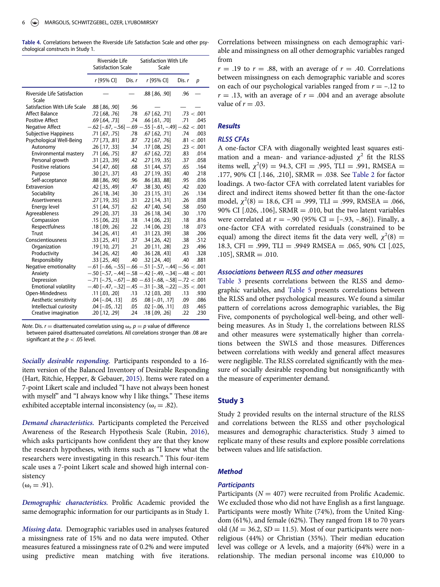<span id="page-6-0"></span>

| Table 4. Correlations between the Riverside Life Satisfaction Scale and other psy- |  |  |
|------------------------------------------------------------------------------------|--|--|
| chological constructs in Study 1.                                                  |  |  |

|                                      | Riverside Life<br>Satisfaction Scale |          | <b>Satisfaction With Life</b><br>Scale                                     |               |
|--------------------------------------|--------------------------------------|----------|----------------------------------------------------------------------------|---------------|
|                                      | r [95% CI]                           | Dis. $r$ | r [95% CI]                                                                 | Dis. $r$<br>p |
| Riverside Life Satisfaction<br>Scale |                                      |          | .88 [.86, .90]                                                             | .96           |
| Satisfaction With Life Scale         | .88 [.86, .90]                       | .96      |                                                                            |               |
| <b>Affect Balance</b>                | .72 [.68, .76]                       | .78      | .67 [.62, .71]                                                             | .73 < .001    |
| <b>Positive Affect</b>               | .69 [.64, .73]                       | .74      | $.66$ [.61, .70]                                                           | .71<br>.045   |
| <b>Negative Affect</b>               |                                      |          | $-.62$ [ $-.67, -.56$ ] $-.69 - .55$ [ $-.61, -.49$ ] -                    | $-.62 < .001$ |
| Subjective Happiness                 | .71 [.67, .75]                       | .78      | $.67$ $[.62, .71]$                                                         | .74<br>.003   |
| Psychological Well-Being             | .77 [.73, .81]                       | .87      | .72 [.67, .76]                                                             | .81 < .001    |
| Autonomy                             | .26 [.17, .33]                       | .34      | $.17$ $[.08, .25]$                                                         | .23 < .001    |
| Environmental mastery                | $.71$ [.66, .75]                     | .87      | $.67$ $[.62, .72]$                                                         | .83<br>.014   |
| Personal growth                      | $.31$ [.23, .39]                     | .42      | $.27$ [.19, .35]                                                           | .37<br>.058   |
| Positive relations                   | .54 [.47, .60]                       | .68      | .51 [.44, .57]                                                             | .65<br>.164   |
| Purpose                              | .30 [.21, .37]                       | .43      | .27 [.19, .35]                                                             | .40<br>.218   |
| Self-acceptance                      | .88 [.86, .90]                       | .96      | $.86$ $[.83, .88]$                                                         | .95<br>.036   |
| Extraversion                         | .42 [.35, .49]                       | .47      | $.38$ [.30, .45]                                                           | .42<br>.020   |
| Sociability                          | .26 [.18, .34]                       | .30      | .23 [.15, .31]                                                             | .26<br>.134   |
| Assertiveness                        | .27 [.19, .35]                       | .31      | .22 [.14, .31]                                                             | .26<br>.038   |
| Energy level                         | $.51$ [.44, .57]                     | .62      | .47 [.40, .54]                                                             | .58<br>.050   |
| Agreeableness                        | $.29$ [.20, .37]                     | .33      | $.26$ [.18, .34]                                                           | .30<br>.170   |
| Compassion                           | $.15$ $[.06, .23]$                   | .18      | $.14$ $[.06, .23]$                                                         | .816<br>.18   |
| Respectfulness                       | $.18$ [.09, .26]                     | .22      | $.14$ [.06, .23]                                                           | .18<br>.073   |
| <b>Trust</b>                         | $.34$ [.26, .41]                     | .41      | $.31$ [.23, .39]                                                           | .38<br>.206   |
| Conscientiousness                    | $.33$ [.25, .41]                     | .37      | $.34$ [.26, .42]                                                           | .38<br>.512   |
| Organization                         | .19 [.10, .27]                       | .21      | .20 [.11, .28]                                                             | .23<br>.496   |
| Productivity                         | .34 [.26, .42]                       | .40      | $.36$ [.28, .43]                                                           | .43<br>.328   |
| Responsibility                       | .33 [.25, .40]                       | .40      | .32 [.24, .40]                                                             | .40<br>.881   |
| Negative emotionality                |                                      |          | $-.61$ [ $-.66$ , $-.55$ ] $-.66$ $-.51$ [ $-.57$ , $-.44$ ] $-.56$ < .001 |               |
| Anxiety                              |                                      |          | $-.50$ [ $-.57, -.44$ ] $-.58 - .42$ [ $-.49, -.34$ ] $-.48 < .001$        |               |
| Depression                           |                                      |          | $-.71$ [ $-.75, -.67$ ] $-.80 - .63$ [ $-.68, -.58$ ] $-.72 < .001$        |               |
| <b>Emotional volatility</b>          |                                      |          | $-.40$ [ $-.47, -.32$ ] $-.45 - .31$ [ $-.38, -.22$ ] $-.35 < .001$        |               |
| Open-Mindedness                      | .11 [.03, .20]                       | .13      | $.12$ $[.03, .20]$                                                         | .13<br>.930   |
| Aesthetic sensitivity                | $.04$ [ $-.04$ , $.13$ ]             | .05      | $.08$ [ $-.01, .17$ ]                                                      | .09<br>.086   |
| Intellectual curiosity               | $.04$ [ $-.05, .12$ ]                | .05      | $.02$ [ $-.06, .11$ ]                                                      | .03<br>.465   |
| Creative imagination                 | .20 [.12, .29]                       | .24      | $.18$ [.09, .26]                                                           | .22<br>.230   |

*Note.* Dis.  $r =$  disattenuated correlation using  $\omega_r$ ,  $p = p$  value of difference between paired disattenuated correlations. All correlations stronger than .08 are significant at the  $p < .05$  level.

<span id="page-6-1"></span>Socially desirable responding. Participants responded to a 16 item version of the Balanced Inventory of Desirable Responding (Hart, Ritchie, Hepper, & Gebauer, [2015\)](#page-9-18). Items were rated on a 7-point Likert scale and included "I have not always been honest with myself" and "I always know why I like things." These items exhibited acceptable internal inconsistency ( $\omega_t = .82$ ).

<span id="page-6-2"></span>Demand characteristics. Participants completed the Perceived Awareness of the Research Hypothesis Scale (Rubin, [2016](#page-9-19)), which asks participants how confident they are that they know the research hypotheses, with items such as "I knew what the researchers were investigating in this research." This four-item scale uses a 7-point Likert scale and showed high internal consistency

 $(\omega_t = .91).$ 

Demographic characteristics. Prolific Academic provided the same demographic information for our participants as in Study 1.

Missing data. Demographic variables used in analyses featured a missingness rate of 15% and no data were imputed. Other measures featured a missingness rate of 0.2% and were imputed using predictive mean matching with five iterations.

Correlations between missingness on each demographic variable and missingness on all other demographic variables ranged from

 $r = .19$  to  $r = .88$ , with an average of  $r = .40$ . Correlations between missingness on each demographic variable and scores on each of our psychological variables ranged from  $r = -.12$  to  $r = .13$ , with an average of  $r = .004$  and an average absolute value of  $r = .03$ .

#### Results

#### RLSS CFAs

A one-factor CFA with diagonally weighted least squares estimation and a mean- and variance-adjusted  $\chi^2$  fit the RLSS items well,  $\chi^2(9) = 94.3$ , CFI = .995, TLI = .991, RMSEA = .177, 90% CI [.146, .210], SRMR = .038. See [Table 2](#page-5-0) for factor loadings. A two-factor CFA with correlated latent variables for direct and indirect items showed better fit than the one-factor model,  $\chi^2(8) = 18.6$ , CFI = .999, TLI = .999, RMSEA = .066, 90% CI [.026, .106], SRMR = .010, but the two latent variables were correlated at  $r = -.90$  (95% CI = [-.93, -.86]). Finally, a one-factor CFA with correlated residuals (constrained to be equal) among the direct items fit the data very well,  $\chi^2(8) =$ 18.3, CFI D .999, TLI D .9949 RMSEA D .065, 90% CI [.025,  $.105$ ], SRMR =  $.010$ .

#### Associations between RLSS and other measures

[Table 3](#page-5-2) presents correlations between the RLSS and demographic variables, and [Table 5](#page-7-0) presents correlations between the RLSS and other psychological measures. We found a similar pattern of correlations across demographic variables, the Big Five, components of psychological well-being, and other wellbeing measures. As in Study 1, the correlations between RLSS and other measures were systematically higher than correlations between the SWLS and those measures. Differences between correlations with weekly and general affect measures were negligible. The RLSS correlated significantly with the measure of socially desirable responding but nonsignificantly with the measure of experimenter demand.

#### Study 3

Study 2 provided results on the internal structure of the RLSS and correlations between the RLSS and other psychological measures and demographic characteristics. Study 3 aimed to replicate many of these results and explore possible correlations between values and life satisfaction.

#### **Method**

#### **Participants**

Participants ( $N = 407$ ) were recruited from Prolific Academic. We excluded those who did not have English as a first language. Participants were mostly White (74%), from the United Kingdom (61%), and female (62%). They ranged from 18 to 70 years old ( $M = 36.2$ ,  $SD = 11.5$ ). Most of our participants were nonreligious (44%) or Christian (35%). Their median education level was college or A levels, and a majority (64%) were in a relationship. The median personal income was £10,000 to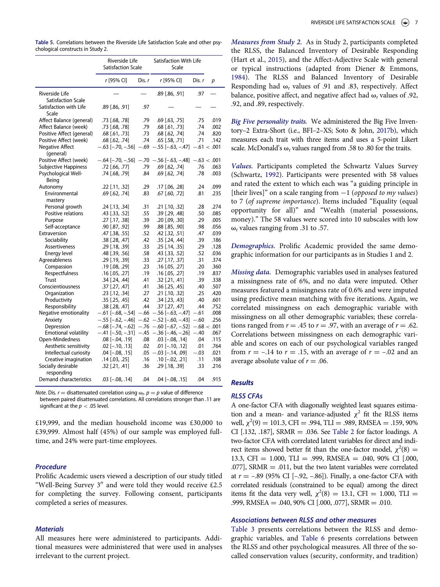<span id="page-7-0"></span>

| Table 5. Correlations between the Riverside Life Satisfaction Scale and other psy- |  |  |
|------------------------------------------------------------------------------------|--|--|
| chological constructs in Study 2.                                                  |  |  |

<span id="page-7-2"></span><span id="page-7-1"></span>

|                                      | Riverside Life<br>Satisfaction Scale |        | Satisfaction With Life<br>Scale            |          |               |
|--------------------------------------|--------------------------------------|--------|--------------------------------------------|----------|---------------|
|                                      | r [95% CI]                           | Dis. r | r [95% CI]                                 | Dis. $r$ | p             |
| Riverside Life<br>Satisfaction Scale |                                      |        | .89 [.86, .91]                             | .97      |               |
| Satisfaction with Life<br>Scale      | .89 [.86, .91]                       | .97    |                                            |          |               |
| Affect Balance (general)             | .73 [.68, .78]                       | .79    | .69 [.63, .75]                             | .75      | .019          |
| Affect Balance (week)                | .73 [.68, .78]                       | .79    | $.68$ [.61, .73]                           | .74      | .002          |
| Positive Affect (general)            | $.68$ [.61, .73]                     | .73    | .68 [.62, .74]                             | .74      | .820          |
| Positive Affect (week)               | $.68$ [.62, .74]                     | .74    | $.65$ [.58, .71]                           | .71      | .142          |
| <b>Negative Affect</b><br>(general)  | $-.63$ [ $-.70, -.56$ ] $-.69$       |        | $-.55$ [ $-.63, -.47$ ] $-.61 < .001$      |          |               |
| Positive Affect (week)               |                                      |        | $-.64$ [-.70, -.56] -.70 -.56 [-.63, -.48] |          | $-.63 < .001$ |
| <b>Subjective Happiness</b>          | .72 [.66, .77]                       | .79    | .69 [.62, .74]                             | .76      | .063          |
| Psychological Well-<br>Being         | .74 [.68, .79]                       | .84    | .69 [.62, .74]                             | .78      | .003          |
| Autonomy                             | .22 [.11, .32]                       | .29    | .17 [.06, .28]                             | .24      | .099          |
| Environmental                        | $.69$ $(.62, .74)$                   | .83    | .67 [.60, .72]                             | .81      | .235          |
| mastery                              |                                      |        |                                            |          |               |
| Personal growth                      | .24 [.13, .34]                       | .31    | .21 [.10, .32]                             | .28      | .274          |
| Positive relations                   | .43 [.33, .52]                       | .55    | .39 [.29, .48]                             | .50      | .085          |
| Purpose                              | .27 [.17, .38]                       | .39    | .20 [.09, .30]                             | .29      | .005          |
| Self-acceptance                      | .90 [.87, .92]                       | .99    | $.88$ $[.85, .90]$                         | .98      | .056          |
| Extraversion                         | .47 [.38, .55]                       | .52    | .42 [.32, .51]                             | .47      | .039          |
| Sociability                          | .38 [.28, .47]                       | .42    | .35 [.24, .44]                             | .39      | .186          |
| Assertiveness                        | .29 [.18, .39]                       | .33    | .25 [.14, .35]                             | .29      | .128          |
| Energy level                         | .48 [.39, .56]                       | .58    | .43 [.33, .52]                             | .52      | .036          |
| Agreeableness                        | .29 [.19, .39]                       | .33    | .27 [.17, .37]                             | .31      | .374          |
| Compassion                           | .19 [.08, .29]                       | .23    | $.16$ [.05, .27]                           | .20      | .360          |
| Respectfulness                       | $.16$ [.05, .27]                     | .19    | .16 [.05, .27]                             | .19      | .837          |
| Trust                                | .34 [.24, .44]                       | .41    | .32 [.21, .41]                             | .39      | .338          |
| Conscientiousness                    | .37 [.27, .47]                       | .41    | .36 [.25, .45]                             | .40      | .507          |
| Organization                         | .23 [.12, .34]                       | .27    | .21 [.10, .32]                             | .25      | .420          |
| Productivity                         | $.35$ [.25, .45]                     | .42    | $.34$ [.23, .43]                           | .40      | .601          |
| Responsibility                       | .38 [.28, .47]                       | .44    | .37 [.27, .47]                             | .44      | .752          |
| Negative emotionality                |                                      |        | $-.61$ [-.68, -.54] -.66 -.56 [-.63, -.47] | $-.61$   | .008          |
| Anxiety                              | $-.55$ [ $-.62, -.46$ ]              | $-.62$ | $-.52$ [ $-.60, -.43$ ]                    | $-.60$   | .256          |
| Depression                           | $-.68$ [ $-.74, -.62$ ]              |        | $-.76 - .60 [-.67, -.52]$                  |          | $-.68 < .001$ |
| <b>Emotional volatility</b>          | $-.41$ [ $-.50, -.31$ ]              |        | $-.45$ $-.36$ $[-.46, -.26]$               | $-.40$   | .067          |
| Open-Mindedness                      | $.08$ $[-.04, .19]$                  | .08    | $.03$ [ $-.08, .14$ ]                      | .04      | .115          |
| Aesthetic sensitivity                | $.02$ [ $-.10, .13$ ]                | .02    | .01 [-.10, .12]                            | .01      | .764          |
| Intellectual curiosity               | $.04$ [ $-.08$ , $.15$ ]             |        | $.05 - .03$ [-.14, .09]                    | $-.03$   | .021          |
| Creative imagination                 | $.14$ [.03, .25]                     | .16    | $.10$ [ $-.02$ , $.21$ ]                   | .11      | .108          |
| Socially desirable                   | .32 [.21, .41]                       | .36    | .29 [.18, .39]                             | .33      | .216          |
| responding                           |                                      |        |                                            |          |               |
| Demand characteristics               | .03 [-.08, .14]                      | .04    | $.04$ [ $-.08$ , .15]                      | .04      | .915          |

*Note.* Dis.  $r =$  disattenuated correlation using  $\omega_r$ ,  $p = p$  value of difference between paired disattenuated correlations. All correlations stronger than .11 are significant at the  $p < .05$  level.

£19,999, and the median household income was £30,000 to £39,999. Almost half (45%) of our sample was employed fulltime, and 24% were part-time employees.

#### Procedure

Prolific Academic users viewed a description of our study titled "Well-Being Survey  $3$ " and were told they would receive  $£2.5$ for completing the survey. Following consent, participants completed a series of measures.

#### **Materials**

All measures here were administered to participants. Additional measures were administered that were used in analyses irrelevant to the current project.

Measures from Study 2. As in Study 2, participants completed the RLSS, the Balanced Inventory of Desirable Responding (Hart et al., [2015](#page-9-18)), and the Affect-Adjective Scale with general or typical instructions (adapted from Diener & Emmons, [1984](#page-9-14)). The RLSS and Balanced Inventory of Desirable Responding had  $\omega_t$  values of .91 and .83, respectively. Affect balance, positive affect, and negative affect had  $\omega_t$  values of .92, .92, and .89, respectively.

Big Five personality traits. We administered the Big Five Inventory–2 Extra-Short (i.e., BFI–2–XS; Soto & John, [2017b\)](#page-10-4), which measures each trait with three items and uses a 5-point Likert scale. McDonald's  $\omega_t$  values ranged from .58 to .80 for the traits.

Values. Participants completed the Schwartz Values Survey (Schwartz, [1992\)](#page-9-20). Participants were presented with 58 values and rated the extent to which each was "a guiding principle in [their lives]" on a scale ranging from  $-1$  (opposed to my values) to 7 (of supreme importance). Items included "Equality (equal opportunity for all)" and "Wealth (material possessions, money)." The 58 values were scored into 10 subscales with low  $\omega_t$  values ranging from .31 to .57.

Demographics. Prolific Academic provided the same demographic information for our participants as in Studies 1 and 2.

Missing data. Demographic variables used in analyses featured a missingness rate of 6%, and no data were imputed. Other measures featured a missingness rate of 0.6% and were imputed using predictive mean matching with five iterations. Again, we correlated missingness on each demographic variable with missingness on all other demographic variables; these correlations ranged from  $r = .45$  to  $r = .97$ , with an average of  $r = .62$ . Correlations between missingness on each demographic variable and scores on each of our psychological variables ranged from  $r = -.14$  to  $r = .15$ , with an average of  $r = -.02$  and an average absolute value of  $r = .06$ .

#### **Results**

#### RLSS CFAs

A one-factor CFA with diagonally weighted least squares estimation and a mean- and variance-adjusted  $\chi^2$  fit the RLSS items well,  $\chi^2(9) = 101.3$ , CFI = .994, TLI = .989, RMSEA = .159, 90% CI [.132, .187], SRMR = .036. See [Table 2](#page-5-0) for factor loadings. A two-factor CFA with correlated latent variables for direct and indirect items showed better fit than the one-factor model,  $\chi^2(8)$  = 13.3, CFI = 1.000, TLI = .999, RMSEA = .040, 90% CI  $[.000,$  $.077$ ], SRMR =  $.011$ , but the two latent variables were correlated at  $r = -.89$  (95% CI [-.92, -.86]). Finally, a one-factor CFA with correlated residuals (constrained to be equal) among the direct items fit the data very well,  $\chi^2(8) = 13.1$ , CFI = 1.000, TLI =  $.999$ , RMSEA =  $.040$ ,  $90\%$  CI  $[.000, .077]$ , SRMR =  $.010$ .

#### Associations between RLSS and other measures

[Table 3](#page-5-2) presents correlations between the RLSS and demographic variables, and [Table 6](#page-8-0) presents correlations between the RLSS and other psychological measures. All three of the socalled conservation values (security, conformity, and tradition)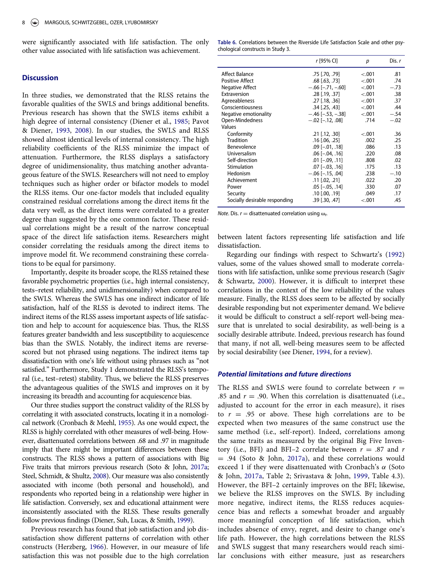<span id="page-8-0"></span>were significantly associated with life satisfaction. The only other value associated with life satisfaction was achievement.

#### **Discussion**

In three studies, we demonstrated that the RLSS retains the favorable qualities of the SWLS and brings additional benefits. Previous research has shown that the SWLS items exhibit a high degree of internal consistency (Diener et al., [1985;](#page-9-2) Pavot & Diener, [1993,](#page-9-8) [2008](#page-9-9)). In our studies, the SWLS and RLSS showed almost identical levels of internal consistency. The high reliability coefficients of the RLSS minimize the impact of attenuation. Furthermore, the RLSS displays a satisfactory degree of unidimensionality, thus matching another advantageous feature of the SWLS. Researchers will not need to employ techniques such as higher order or bifactor models to model the RLSS items. Our one-factor models that included equality constrained residual correlations among the direct items fit the data very well, as the direct items were correlated to a greater degree than suggested by the one common factor. These residual correlations might be a result of the narrow conceptual space of the direct life satisfaction items. Researchers might consider correlating the residuals among the direct items to improve model fit. We recommend constraining these correlations to be equal for parsimony.

<span id="page-8-6"></span>Importantly, despite its broader scope, the RLSS retained these favorable psychometric properties (i.e., high internal consistency, tests–retest reliability, and unidimensionality) when compared to the SWLS. Whereas the SWLS has one indirect indicator of life satisfaction, half of the RLSS is devoted to indirect items. The indirect items of the RLSS assess important aspects of life satisfaction and help to account for acquiescence bias. Thus, the RLSS features greater bandwidth and less susceptibility to acquiescence bias than the SWLS. Notably, the indirect items are reversescored but not phrased using negations. The indirect items tap dissatisfaction with one's life without using phrases such as "not satisfied." Furthermore, Study 1 demonstrated the RLSS's temporal (i.e., test–retest) stability. Thus, we believe the RLSS preserves the advantageous qualities of the SWLS and improves on it by increasing its breadth and accounting for acquiescence bias.

<span id="page-8-2"></span><span id="page-8-1"></span>Our three studies support the construct validity of the RLSS by correlating it with associated constructs, locating it in a nomological network (Cronbach & Meehl, [1955](#page-9-21)). As one would expect, the RLSS is highly correlated with other measures of well-being. However, disattenuated correlations between .68 and .97 in magnitude imply that there might be important differences between these constructs. The RLSS shows a pattern of associations with Big Five traits that mirrors previous research (Soto & John, [2017a;](#page-10-3) Steel, Schmidt, & Shultz, [2008\)](#page-10-5). Our measure was also consistently associated with income (both personal and household), and respondents who reported being in a relationship were higher in life satisfaction. Conversely, sex and educational attainment were inconsistently associated with the RLSS. These results generally follow previous findings (Diener, Suh, Lucas, & Smith, [1999\)](#page-9-22).

<span id="page-8-7"></span><span id="page-8-5"></span><span id="page-8-4"></span><span id="page-8-3"></span>Previous research has found that job satisfaction and job dissatisfaction show different patterns of correlation with other constructs (Herzberg, [1966](#page-9-23)). However, in our measure of life satisfaction this was not possible due to the high correlation

| Table 6. Correlations between the Riverside Life Satisfaction Scale and other psy- |  |  |  |
|------------------------------------------------------------------------------------|--|--|--|
| chological constructs in Study 3.                                                  |  |  |  |

|                               | r [95% CI]               | р       | Dis. r |
|-------------------------------|--------------------------|---------|--------|
| <b>Affect Balance</b>         | .75 [.70, .79]           | $-.001$ | .81    |
| <b>Positive Affect</b>        | $.68$ [.63, .73]         | $-.001$ | .74    |
| <b>Negative Affect</b>        | $-.66$ [ $-.71, -.60$ ]  | $-.001$ | $-.73$ |
| Extraversion                  | .28 [.19, .37]           | $-.001$ | .38    |
| Agreeableness                 | .27 [.18, .36]           | $-.001$ | .37    |
| Conscientiousness             | $.34$ [.25, .43]         | $-.001$ | .44    |
| Negative emotionality         | $-.46$ [ $-.53, -.38$ ]  | $-.001$ | $-.54$ |
| Open-Mindedness               | $-.02$ [ $-.12, .08$ ]   | .714    | $-.02$ |
| Values                        |                          |         |        |
| Conformity                    | $.21$ [.12, .30]         | $-.001$ | .36    |
| Tradition                     | $.16$ $.06$ . $.251$     | .002    | .25    |
| Benevolence                   | .09 [-.01, .18]          | .086    | .13    |
| Universalism                  | $.06$ [ $-.04$ , $.16$ ] | .220    | .08    |
| Self-direction                | $.01$ [ $-.09$ , $.11$ ] | .808    | .02    |
| Stimulation                   | $.07$ [ $-.03, .16$ ]    | .175    | .13    |
| Hedonism                      | $-.06$ [ $-.15, .04$ ]   | .238    | $-.10$ |
| Achievement                   | $.11$ [.02, .21]         | .022    | .20    |
| Power                         | $.05$ [ $-.05, .14$ ]    | .330    | .07    |
| Security                      | $.10$ $[.00, .19]$       | .049    | .17    |
| Socially desirable responding | $.39$ $.30$ , $.47$      | $-.001$ | .45    |

Note. Dis.  $r =$  disattenuated correlation using  $\omega_r$ .

between latent factors representing life satisfaction and life dissatisfaction.

Regarding our findings with respect to Schwartz's ([1992\)](#page-9-20) values, some of the values showed small to moderate correlations with life satisfaction, unlike some previous research (Sagiv & Schwartz, [2000\)](#page-9-24). However, it is difficult to interpret these correlations in the context of the low reliability of the values measure. Finally, the RLSS does seem to be affected by socially desirable responding but not experimenter demand. We believe it would be difficult to construct a self-report well-being measure that is unrelated to social desirability, as well-being is a socially desirable attribute. Indeed, previous research has found that many, if not all, well-being measures seem to be affected by social desirability (see Diener, [1994,](#page-9-25) for a review).

#### Potential limitations and future directions

The RLSS and SWLS were found to correlate between  $r =$ .85 and  $r = .90$ . When this correlation is disattenuated (i.e., adjusted to account for the error in each measure), it rises to  $r = .95$  or above. These high correlations are to be expected when two measures of the same construct use the same method (i.e., self-report). Indeed, correlations among the same traits as measured by the original Big Five Inventory (i.e., BFI) and BFI-2 correlate between  $r = .87$  and r  $= .94$  (Soto & John, [2017a](#page-10-3)), and these correlations would exceed 1 if they were disattenuated with Cronbach's  $\alpha$  (Soto & John, [2017a,](#page-10-3) Table 2; Srivastava & John, [1999](#page-9-26), Table 4.3). However, the BFI–2 certainly improves on the BFI; likewise, we believe the RLSS improves on the SWLS. By including more negative, indirect items, the RLSS reduces acquiescence bias and reflects a somewhat broader and arguably more meaningful conception of life satisfaction, which includes absence of envy, regret, and desire to change one's life path. However, the high correlations between the RLSS and SWLS suggest that many researchers would reach similar conclusions with either measure, just as researchers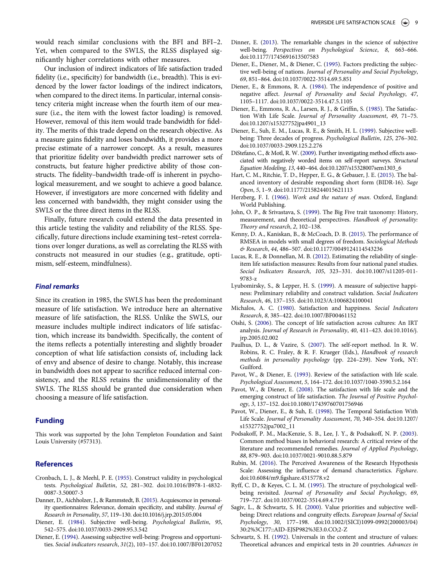<span id="page-9-0"></span>would reach similar conclusions with the BFI and BFI–2. Yet, when compared to the SWLS, the RLSS displayed significantly higher correlations with other measures.

<span id="page-9-22"></span><span id="page-9-14"></span><span id="page-9-3"></span><span id="page-9-2"></span>Our inclusion of indirect indicators of life satisfaction traded fidelity (i.e., specificity) for bandwidth (i.e., breadth). This is evidenced by the lower factor loadings of the indirect indicators, when compared to the direct items. In particular, internal consistency criteria might increase when the fourth item of our measure (i.e., the item with the lowest factor loading) is removed. However, removal of this item would trade bandwidth for fidelity. The merits of this trade depend on the research objective. As a measure gains fidelity and loses bandwidth, it provides a more precise estimate of a narrower concept. As a result, measures that prioritize fidelity over bandwidth predict narrower sets of constructs, but feature higher predictive ability of those constructs. The fidelity–bandwidth trade-off is inherent in psychological measurement, and we sought to achieve a good balance. However, if investigators are more concerned with fidelity and less concerned with bandwidth, they might consider using the SWLS or the three direct items in the RLSS.

<span id="page-9-26"></span><span id="page-9-23"></span><span id="page-9-18"></span><span id="page-9-17"></span><span id="page-9-12"></span>Finally, future research could extend the data presented in this article testing the validity and reliability of the RLSS. Specifically, future directions include examining test–retest correlations over longer durations, as well as correlating the RLSS with constructs not measured in our studies (e.g., gratitude, optimism, self-esteem, mindfulness).

#### <span id="page-9-15"></span><span id="page-9-5"></span>Final remarks

<span id="page-9-10"></span><span id="page-9-7"></span><span id="page-9-4"></span>Since its creation in 1985, the SWLS has been the predominant measure of life satisfaction. We introduce here an alternative measure of life satisfaction, the RLSS. Unlike the SWLS, our measure includes multiple indirect indicators of life satisfaction, which increase its bandwidth. Specifically, the content of the items reflects a potentially interesting and slightly broader conception of what life satisfaction consists of, including lack of envy and absence of desire to change. Notably, this increase in bandwidth does not appear to sacrifice reduced internal consistency, and the RLSS retains the unidimensionality of the SWLS. The RLSS should be granted due consideration when choosing a measure of life satisfaction.

#### <span id="page-9-9"></span><span id="page-9-8"></span><span id="page-9-6"></span>Funding

<span id="page-9-13"></span>This work was supported by the John Templeton Foundation and Saint Louis University (#57313).

#### <span id="page-9-19"></span>References

- <span id="page-9-21"></span><span id="page-9-16"></span>Cronbach, L. J., & Meehl, P. E. [\(1955\)](#page-8-1). Construct validity in psychological tests. Psychological Bulletin, 52, 281–302. doi:[10.1016/B978-1-4832-](https://doi.org/10.1016/B978-1-4832-0087-3.50007-3) [0087-3.50007-3](https://doi.org/10.1016/B978-1-4832-0087-3.50007-3)
- <span id="page-9-24"></span><span id="page-9-11"></span>Danner, D., Aichholzer, J., & Rammstedt, B. [\(2015](#page-2-0)). Acquiescence in personality questionnaires: Relevance, domain specificity, and stability. Journal of Research in Personality, 57, 119–130. doi:[10.1016/j.jrp.2015.05.004](https://doi.org/10.1016/j.jrp.2015.05.004)
- <span id="page-9-1"></span>Diener, E. ([1984](#page-1-1)). Subjective well-being. Psychological Bulletin, 95, 542–575. doi[:10.1037/0033-2909.95.3.542](https://doi.org/10.1037/0033-2909.95.3.542)
- <span id="page-9-25"></span><span id="page-9-20"></span>Diener, E. [\(1994\)](#page-8-2). Assessing subjective well-being: Progress and opportunities. Social indicators research, 31(2), 103–157. doi[:10.1007/BF01207052](https://doi.org/10.1007/BF01207052)
- Dinner, E. ([2013](#page-1-2)). The remarkable changes in the science of subjective well-being. Perspectives on Psychological Science, 8, 663–666. doi:[10.1177/1745691613507583](https://doi.org/10.1177/1745691613507583)
- Diener, E., Diener, M., & Diener, C. ([1995](#page-1-3)). Factors predicting the subjective well-being of nations. Journal of Personality and Social Psychology, 69, 851–864. doi[:10.1037/0022-3514.69.5.851](https://doi.org/10.1037/0022-3514.69.5.851)
- Diener, E., & Emmons, R. A. [\(1984](#page-3-0)). The independence of positive and negative affect. Journal of Personality and Social Psychology, 47, 1105–1117. doi[:10.1037/0022-3514.47.5.1105](https://doi.org/10.1037/0022-3514.47.5.1105)
- Diener, E., Emmons, R. A., Larsen, R. J., & Griffin, S. [\(1985](#page-1-4)). The Satisfaction With Life Scale. Journal of Personality Assessment, 49, 71–75. doi:[10.1207/s15327752jpa4901\\_13](https://doi.org/10.1207/s15327752jpa4901_13)
- Diener, E., Suh, E. M., Lucas, R. E., & Smith, H. L. [\(1999](#page-8-3)). Subjective wellbeing: Three decades of progress. Psychological Bulletin, 125, 276–302. doi:[10.1037/0033-2909.125.2.276](https://doi.org/10.1037/0033-2909.125.2.276)
- DiStefano, C., & Motl, R. W. [\(2009\)](#page-2-1). Further investigating method effects associated with negatively worded items on self-report surveys. Structural Equation Modeling, 13, 440–464. doi:[10.1207/s15328007sem1303\\_6](https://doi.org/10.1207/s15328007sem1303_6)
- Hart, C. M., Ritchie, T. D., Hepper, E. G., & Gebauer, J. E. ([2015\)](#page-6-1). The balanced inventory of desirable responding short form (BIDR-16). Sage Open, 5, 1–9. doi:[10.1177/2158244015621113](https://doi.org/10.1177/2158244015621113)
- Herzberg, F. I. ([1966](#page-8-4)). Work and the nature of man. Oxford, England: World Publishing.
- John, O. P., & Srivastava, S. [\(1999](#page-8-5)). The Big Five trait taxonomy: History, measurement, and theoretical perspectives. Handbook of personality: Theory and research, 2, 102–138.
- Kenny, D. A., Kaniskan, B., & McCoach, D. B. ([2015\)](#page-4-2). The performance of RMSEA in models with small degrees of freedom. Sociological Methods & Research, 44, 486–507. doi:[10.1177/0049124114543236](https://doi.org/10.1177/0049124114543236)
- Lucas, R. E., & Donnellan, M. B. [\(2012](#page-1-5)). Estimating the reliability of singleitem life satisfaction measures: Results from four national panel studies. Social Indicators Research, 105, 323–331. doi:[10.1007/s11205-011-](https://doi.org/10.1007/s11205-011-9783-z) [9783-z](https://doi.org/10.1007/s11205-011-9783-z)
- Lyubomirsky, S., & Lepper, H. S. [\(1999](#page-3-1)). A measure of subjective happiness: Preliminary reliability and construct validation. Social Indicators Research, 46, 137–155. doi[:10.1023/A:1006824100041](https://doi.org/10.1023/A:1006824100041)
- Michalos, A. C. ([1980](#page-1-6)). Satisfaction and happiness. Social Indicators Research, 8, 385–422. doi[:10.1007/BF00461152](https://doi.org/10.1007/BF00461152)
- Oishi, S. [\(2006](#page-1-7)). The concept of life satisfaction across cultures: An IRT analysis. Journal of Research in Personality, 40, 411–423. doi[:10.1016/j.](https://doi.org/10.1016/j.jrp.2005.02.002) [jrp.2005.02.002](https://doi.org/10.1016/j.jrp.2005.02.002)
- Paulhus, D. L., & Vazire, S. ([2007](#page-2-2)). The self-report method. In R. W. Robins, R. C. Fraley, & R. F. Krueger (Eds.), Handbook of research methods in personality psychology (pp. 224–239). New York, NY: Guilford.
- Pavot, W., & Diener, E. [\(1993](#page-2-0)). Review of the satisfaction with life scale. Psychological Assessment, 5, 164–172. doi[:10.1037/1040-3590.5.2.164](https://doi.org/10.1037/1040-3590.5.2.164)
- Pavot, W., & Diener, E. ([2008](#page-2-3)). The satisfaction with life scale and the emerging construct of life satisfaction. The Journal of Positive Psychology, 3, 137–152. doi[:10.1080/17439760701756946](https://doi.org/10.1080/17439760701756946)
- Pavot, W., Diener, E., & Suh, E. ([1998](#page-1-8)). The Temporal Satisfaction With Life Scale. Journal of Personality Assessment, 70, 340–354. doi[:10.1207/](https://doi.org/10.1207/s15327752jpa7002_11) [s15327752jpa7002\\_11](https://doi.org/10.1207/s15327752jpa7002_11)
- Podsakoff, P. M., MacKenzie, S. B., Lee, J. Y., & Podsakoff, N. P. [\(2003](#page-2-4)). Common method biases in behavioral research: A critical review of the literature and recommended remedies. Journal of Applied Psychology, 88, 879–903. doi[:10.1037/0021-9010.88.5.879](https://doi.org/10.1037/0021-9010.88.5.879)
- Rubin, M. [\(2016](#page-6-2)). The Perceived Awareness of the Research Hypothesis Scale: Assessing the influence of demand characteristics. Figshare. doi:10.6084/m9.fi[gshare.4315778.v2](https://doi.org/10.6084/m9.figshare.4315778.v2)
- Ryff, C. D., & Keyes, C. L. M. ([1995\)](#page-3-2). The structure of psychological wellbeing revisited. Journal of Personality and Social Psychology, 69, 719–727. doi[:10.1037/0022-3514.69.4.719](https://doi.org/10.1037/0022-3514.69.4.719)
- Sagiv, L., & Schwartz, S. H. [\(2000\)](#page-8-6). Value priorities and subjective wellbeing: Direct relations and congruity effects. European Journal of Social Psychology, 30, 177–198. doi:[10.1002/\(SICI\)1099-0992\(200003/04\)](https://doi.org/10.1002/(SICI)1099-0992(200003/04)30:2%3C177::AID-EJSP982%3E3.0.CO;2-Z) [30:2%3C177::AID-EJSP982%3E3.0.CO;2-Z](https://doi.org/10.1002/(SICI)1099-0992(200003/04)30:2%3C177::AID-EJSP982%3E3.0.CO;2-Z)
- Schwartz, S. H. ([1992](#page-7-1)). Universals in the content and structure of values: Theoretical advances and empirical tests in 20 countries. Advances in